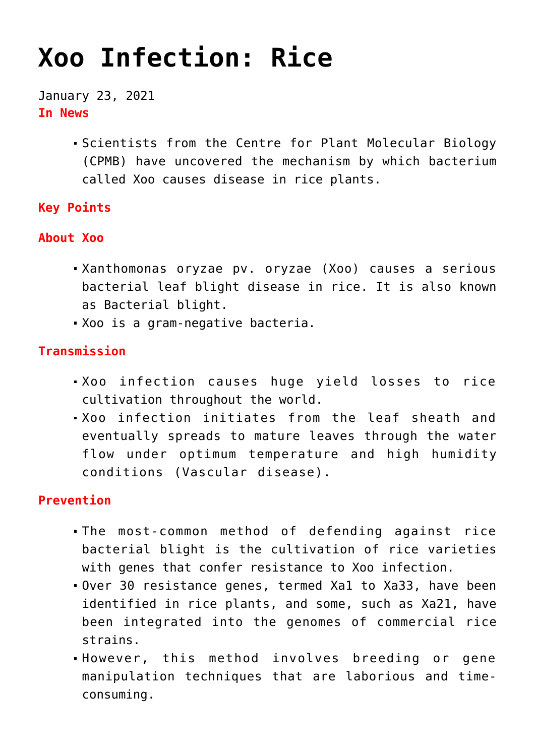# **[Xoo Infection: Rice](https://journalsofindia.com/xoo-infection-rice/)**

January 23, 2021 **In News**

> Scientists from the Centre for Plant Molecular Biology (CPMB) have uncovered the mechanism by which bacterium called Xoo causes disease in rice plants.

## **Key Points**

#### **About Xoo**

- Xanthomonas oryzae pv. oryzae (Xoo) causes a serious bacterial leaf blight disease in rice. It is also known as Bacterial blight.
- Xoo is a gram-negative bacteria.

## **Transmission**

- Xoo infection causes huge yield losses to rice cultivation throughout the world.
- Xoo infection initiates from the leaf sheath and eventually spreads to mature leaves through the water flow under optimum temperature and high humidity conditions (Vascular disease).

## **Prevention**

- The most-common method of defending against rice bacterial blight is the cultivation of rice varieties with genes that confer resistance to Xoo infection.
- Over 30 resistance genes, termed Xa1 to Xa33, have been identified in rice plants, and some, such as Xa21, have been integrated into the genomes of commercial rice strains.
- However, this method involves breeding or gene manipulation techniques that are laborious and timeconsuming.